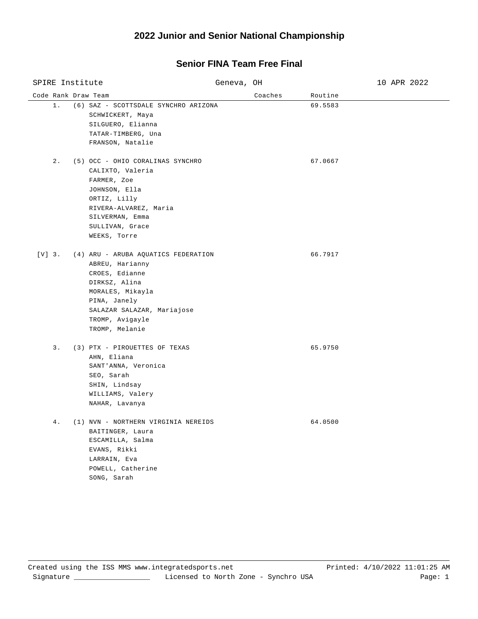## **2022 Junior and Senior National Championship**

## **Senior FINA Team Free Final**

| SPIRE Institute     |                                                                                                                                                                                                  | Geneva, OH |         |         | 10 APR 2022 |
|---------------------|--------------------------------------------------------------------------------------------------------------------------------------------------------------------------------------------------|------------|---------|---------|-------------|
| Code Rank Draw Team |                                                                                                                                                                                                  |            | Coaches | Routine |             |
| $1$ .               | (6) SAZ - SCOTTSDALE SYNCHRO ARIZONA<br>SCHWICKERT, Maya<br>SILGUERO, Elianna<br>TATAR-TIMBERG, Una<br>FRANSON, Natalie                                                                          |            |         | 69.5583 |             |
| $2$ .               | (5) OCC - OHIO CORALINAS SYNCHRO<br>CALIXTO, Valeria<br>FARMER, Zoe<br>JOHNSON, Ella<br>ORTIZ, Lilly<br>RIVERA-ALVAREZ, Maria<br>SILVERMAN, Emma<br>SULLIVAN, Grace<br>WEEKS, Torre              |            |         | 67.0667 |             |
| $[V]$ 3.            | (4) ARU - ARUBA AQUATICS FEDERATION<br>ABREU, Harianny<br>CROES, Edianne<br>DIRKSZ, Alina<br>MORALES, Mikayla<br>PINA, Janely<br>SALAZAR SALAZAR, Mariajose<br>TROMP, Avigayle<br>TROMP, Melanie |            |         | 66.7917 |             |
| 3.                  | (3) PTX - PIROUETTES OF TEXAS<br>AHN, Eliana<br>SANT'ANNA, Veronica<br>SEO, Sarah<br>SHIN, Lindsay<br>WILLIAMS, Valery<br>NAHAR, Lavanya                                                         |            |         | 65.9750 |             |
| $4$ .               | (1) NVN - NORTHERN VIRGINIA NEREIDS<br>BAITINGER, Laura<br>ESCAMILLA, Salma<br>EVANS, Rikki<br>LARRAIN, Eva<br>POWELL, Catherine<br>SONG, Sarah                                                  |            |         | 64.0500 |             |